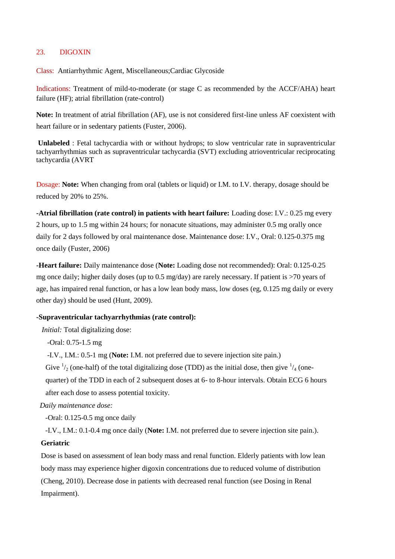# 23. DIGOXIN

Class: Antiarrhythmic Agent, Miscellaneous;Cardiac Glycoside

Indications: Treatment of mild-to-moderate (or stage C as recommended by the ACCF/AHA) heart failure (HF); atrial fibrillation (rate-control)

**Note:** In treatment of atrial fibrillation (AF), use is not considered first-line unless AF coexistent with heart failure or in sedentary patients (Fuster, 2006).

**Unlabeled** : Fetal tachycardia with or without hydrops; to slow ventricular rate in supraventricular tachyarrhythmias such as supraventricular tachycardia (SVT) excluding atrioventricular reciprocating tachycardia (AVRT

Dosage: **Note:** When changing from oral (tablets or liquid) or I.M. to I.V. therapy, dosage should be reduced by 20% to 25%.

**-Atrial fibrillation (rate control) in patients with heart failure:** Loading dose: I.V.: 0.25 mg every 2 hours, up to 1.5 mg within 24 hours; for nonacute situations, may administer 0.5 mg orally once daily for 2 days followed by oral maintenance dose. Maintenance dose: I.V., Oral: 0.125-0.375 mg once daily (Fuster, 2006)

**-Heart failure:** Daily maintenance dose (**Note:** Loading dose not recommended): Oral: 0.125-0.25 mg once daily; higher daily doses (up to 0.5 mg/day) are rarely necessary. If patient is >70 years of age, has impaired renal function, or has a low lean body mass, low doses (eg, 0.125 mg daily or every other day) should be used (Hunt, 2009).

## **-Supraventricular tachyarrhythmias (rate control):**

 *Initial:* Total digitalizing dose:

 *-*Oral: 0.75-1.5 mg

-I.V., I.M.: 0.5-1 mg (**Note:** I.M. not preferred due to severe injection site pain.)

Give  $\frac{1}{2}$  (one-half) of the total digitalizing dose (TDD) as the initial dose, then give  $\frac{1}{4}$  (one-

quarter) of the TDD in each of 2 subsequent doses at 6- to 8-hour intervals. Obtain ECG 6 hours after each dose to assess potential toxicity.

 *Daily maintenance dose:*

 *-*Oral: 0.125-0.5 mg once daily

-I.V., I.M.: 0.1-0.4 mg once daily (**Note:** I.M. not preferred due to severe injection site pain.).

### **Geriatric**

Dose is based on assessment of lean body mass and renal function. Elderly patients with low lean body mass may experience higher digoxin concentrations due to reduced volume of distribution (Cheng, 2010). Decrease dose in patients with decreased renal function (see Dosing in Renal Impairment).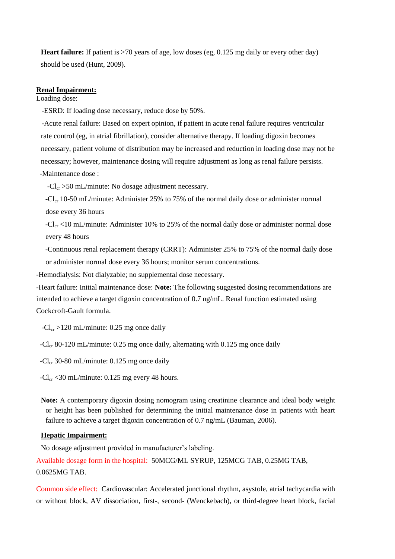**Heart failure:** If patient is >70 years of age, low doses (eg, 0.125 mg daily or every other day) should be used (Hunt, 2009).

#### **Renal Impairment:**

Loading dose:

-ESRD: If loading dose necessary, reduce dose by 50%.

 -Acute renal failure: Based on expert opinion, if patient in acute renal failure requires ventricular rate control (eg, in atrial fibrillation), consider alternative therapy. If loading digoxin becomes necessary, patient volume of distribution may be increased and reduction in loading dose may not be necessary; however, maintenance dosing will require adjustment as long as renal failure persists. -Maintenance dose :

 $-Cl_{cr} > 50$  mL/minute: No dosage adjustment necessary.

 $-Cl_{cr}$  10-50 mL/minute: Administer 25% to 75% of the normal daily dose or administer normal dose every 36 hours

 $-Cl_{cr}$  <10 mL/minute: Administer 10% to 25% of the normal daily dose or administer normal dose every 48 hours

 -Continuous renal replacement therapy (CRRT): Administer 25% to 75% of the normal daily dose or administer normal dose every 36 hours; monitor serum concentrations.

-Hemodialysis: Not dialyzable; no supplemental dose necessary.

-Heart failure: Initial maintenance dose: **Note:** The following suggested dosing recommendations are intended to achieve a target digoxin concentration of 0.7 ng/mL. Renal function estimated using Cockcroft-Gault formula.

 $-Cl_{cr} > 120$  mL/minute: 0.25 mg once daily

-Cl<sub>cr</sub> 80-120 mL/minute: 0.25 mg once daily, alternating with 0.125 mg once daily

 $-Cl_{cr}$  30-80 mL/minute: 0.125 mg once daily

 $-Cl_{cr}$  <30 mL/minute: 0.125 mg every 48 hours.

**Note:** A contemporary digoxin dosing nomogram using creatinine clearance and ideal body weight or height has been published for determining the initial maintenance dose in patients with heart failure to achieve a target digoxin concentration of 0.7 ng/mL (Bauman, 2006).

## **Hepatic Impairment:**

No dosage adjustment provided in manufacturer's labeling. Available dosage form in the hospital: 50MCG/ML SYRUP, 125MCG TAB, 0.25MG TAB, 0.0625MG TAB.

Common side effect: Cardiovascular: Accelerated junctional rhythm, asystole, atrial tachycardia with or without block, AV dissociation, first-, second- (Wenckebach), or third-degree heart block, facial